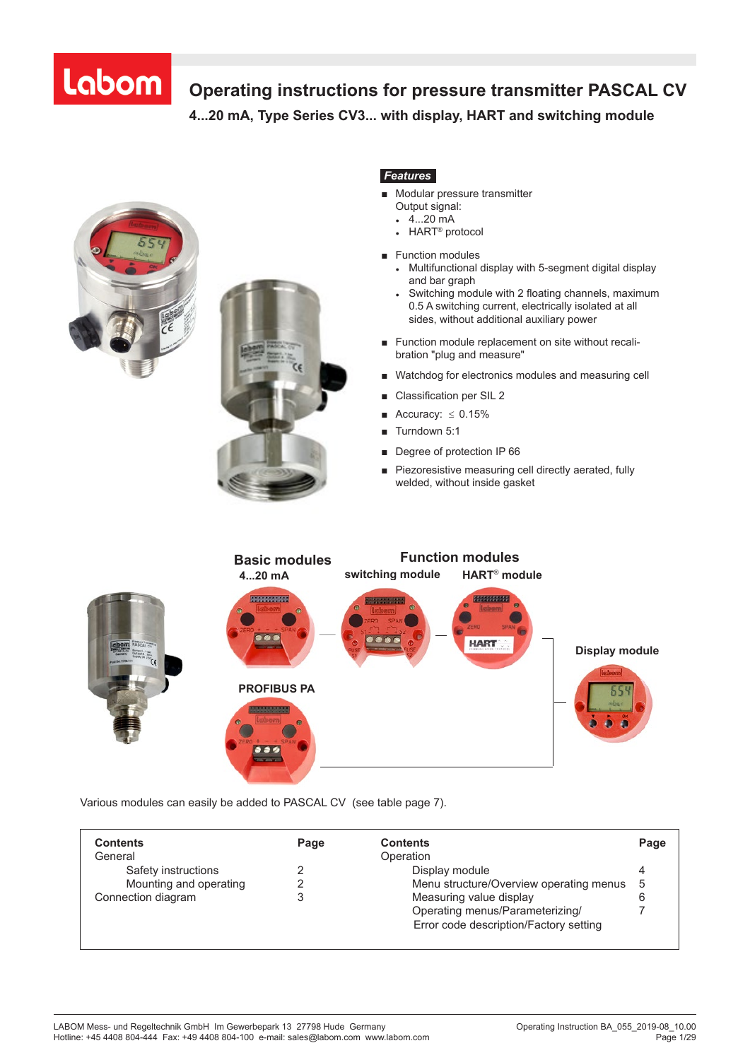# **Operating instructions for pressure transmitter PASCAL CV**

**4...20 mA, Type Series CV3... with display, HART and switching module 4...20 mA, Type Series CV 3 . . . with display, HART and switching module**



## *Features*

- Modular pressure transmitter Output signal:
	- $-4...20$  mA
	- $\cdot$  HART<sup>®</sup> protocol
- Function modules
	- Multifunctional display with 5-segment digital display and bar graph
	- Switching module with 2 floating channels, maximum 0.5 A switching current, electrically isolated at all sides, without additional auxiliary power
- Function module replacement on site without recalibration "plug and measure"
- Watchdog for electronics modules and measuring cell
- Classification per SIL 2
- Accuracy:  $\leq 0.15\%$
- Turndown 5:1
- Degree of protection IP 66
- Piezoresistive measuring cell directly aerated, fully welded, without inside gasket



Various modules can easily be added to PASCAL CV (see table page 7).

| <b>Contents</b>        | Page | <b>Contents</b>                         | Page |
|------------------------|------|-----------------------------------------|------|
| General                |      | Operation                               |      |
| Safety instructions    |      | Display module                          |      |
| Mounting and operating |      | Menu structure/Overview operating menus | -5   |
| Connection diagram     |      | Measuring value display                 |      |
|                        |      | Operating menus/Parameterizing/         |      |
|                        |      | Error code description/Factory setting  |      |

*Further information required? Hotline +49 (0) 4408 804-444*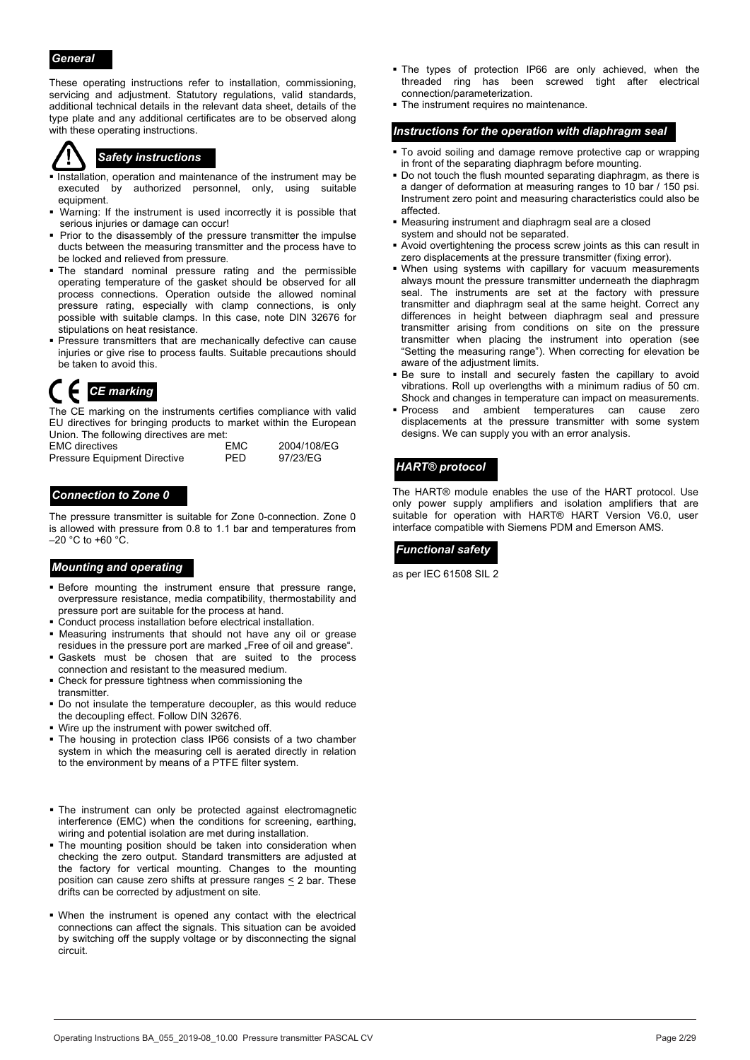### *General*

These operating instructions refer to installation, commissioning, servicing and adjustment. Statutory regulations, valid standards, additional technical details in the relevant data sheet, details of the type plate and any additional certificates are to be observed along with these operating instructions.

- Installation, operation and maintenance of the instrument may be executed by authorized personnel, only, using suitable equipment.
- Warning: If the instrument is used incorrectly it is possible that serious injuries or damage can occur!
- Prior to the disassembly of the pressure transmitter the impulse ducts between the measuring transmitter and the process have to be locked and relieved from pressure.
- The standard nominal pressure rating and the permissible operating temperature of the gasket should be observed for all process connections. Operation outside the allowed nominal pressure rating, especially with clamp connections, is only possible with suitable clamps. In this case, note DIN 32676 for stipulations on heat resistance.
- **Pressure transmitters that are mechanically defective can cause** injuries or give rise to process faults. Suitable precautions should be taken to avoid this.

The CE marking on the instruments certifies compliance with valid EU directives for bringing products to market within the European Union. The following directives are met:

| <b>EMC</b> directives               | EMC        | 2004/108/EG |
|-------------------------------------|------------|-------------|
| <b>Pressure Equipment Directive</b> | <b>PFD</b> | 97/23/EG    |

## *Connection to Zone 0*

The pressure transmitter is suitable for Zone 0-connection. Zone 0 is allowed with pressure from 0.8 to 1.1 bar and temperatures from  $-20$  °C to +60 °C.

## **Mounting and operating** <br>as per IEC 61508 SIL 2

- **Before** mounting the instrument ensure that pressure range, overpressure resistance, media compatibility, thermostability and pressure port are suitable for the process at hand.
- Conduct process installation before electrical installation.
- Measuring instruments that should not have any oil or grease residues in the pressure port are marked "Free of oil and grease".
- Gaskets must be chosen that are suited to the process connection and resistant to the measured medium.
- Check for pressure tightness when commissioning the transmitter.
- . Do not insulate the temperature decoupler, as this would reduce the decoupling effect. Follow DIN 32676.
- Wire up the instrument with power switched off.
- The housing in protection class IP66 consists of a two chamber system in which the measuring cell is aerated directly in relation to the environment by means of a PTFE filter system.
- The instrument can only be protected against electromagnetic interference (EMC) when the conditions for screening, earthing, wiring and potential isolation are met during installation.
- . The mounting position should be taken into consideration when checking the zero output. Standard transmitters are adjusted at the factory for vertical mounting. Changes to the mounting position can cause zero shifts at pressure ranges  $\leq$  2 bar. These drifts can be corrected by adjustment on site.
- . When the instrument is opened any contact with the electrical connections can affect the signals. This situation can be avoided by switching off the supply voltage or by disconnecting the signal circuit.
- . The types of protection IP66 are only achieved, when the threaded ring has been screwed tight after electrical connection/parameterization.
- The instrument requires no maintenance.

#### *Instructions for the operation with diaphragm seal*

- To avoid soiling and damage remove protective cap or wrapping **Safety instructions**<br>in front of the separating diaphragm before mounting.
	- Do not touch the flush mounted separating diaphragm, as there is a danger of deformation at measuring ranges to 10 bar / 150 psi. Instrument zero point and measuring characteristics could also be affected.
	- Measuring instrument and diaphragm seal are a closed system and should not be separated.
	- Avoid overtightening the process screw joints as this can result in zero displacements at the pressure transmitter (fixing error).
	- When using systems with capillary for vacuum measurements always mount the pressure transmitter underneath the diaphragm seal. The instruments are set at the factory with pressure transmitter and diaphragm seal at the same height. Correct any differences in height between diaphragm seal and pressure transmitter arising from conditions on site on the pressure transmitter when placing the instrument into operation (see "Setting the measuring range"). When correcting for elevation be aware of the adjustment limits.
- Be sure to install and securely fasten the capillary to avoid vibrations. Roll up overlengths with a minimum radius of 50 cm. Shock and changes in temperature can impact on measurements.<br>Shock and changes in temperature can impact on measurements.
	- Process and ambient temperatures can cause zero displacements at the pressure transmitter with some system designs. We can supply you with an error analysis.

### *HART® protocol*

The HART® module enables the use of the HART protocol. Use only power supply amplifiers and isolation amplifiers that are suitable for operation with HART® HART Version V6.0, user interface compatible with Siemens PDM and Emerson AMS.

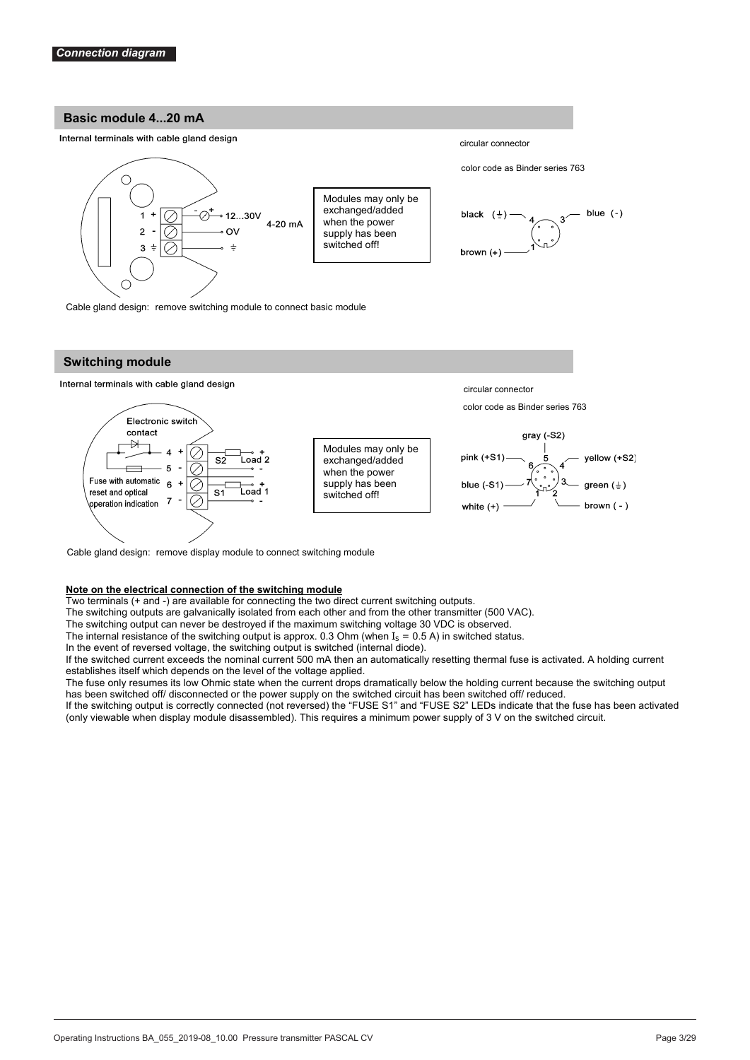#### **Basic module 4...20 mA**

#### Internal terminals with cable gland design



Cable gland design: remove switching module to connect basic module

#### **Switching module**

#### Internal terminals with cable gland design



Cable gland design: remove display module to connect switching module

#### **Note on the electrical connection of the switching module**

Two terminals (+ and -) are available for connecting the two direct current switching outputs.

The switching outputs are galvanically isolated from each other and from the other transmitter (500 VAC).

The switching output can never be destroyed if the maximum switching voltage 30 VDC is observed.

The internal resistance of the switching output is approx. 0.3 Ohm (when  $I_s = 0.5$  A) in switched status.

In the event of reversed voltage, the switching output is switched (internal diode).

If the switched current exceeds the nominal current 500 mA then an automatically resetting thermal fuse is activated. A holding current establishes itself which depends on the level of the voltage applied.

The fuse only resumes its low Ohmic state when the current drops dramatically below the holding current because the switching output has been switched off/ disconnected or the power supply on the switched circuit has been switched off/ reduced.

If the switching output is correctly connected (not reversed) the "FUSE S1" and "FUSE S2" LEDs indicate that the fuse has been activated (only viewable when display module disassembled). This requires a minimum power supply of 3 V on the switched circuit.

color code as Binder series 763

circular connector



circular connector

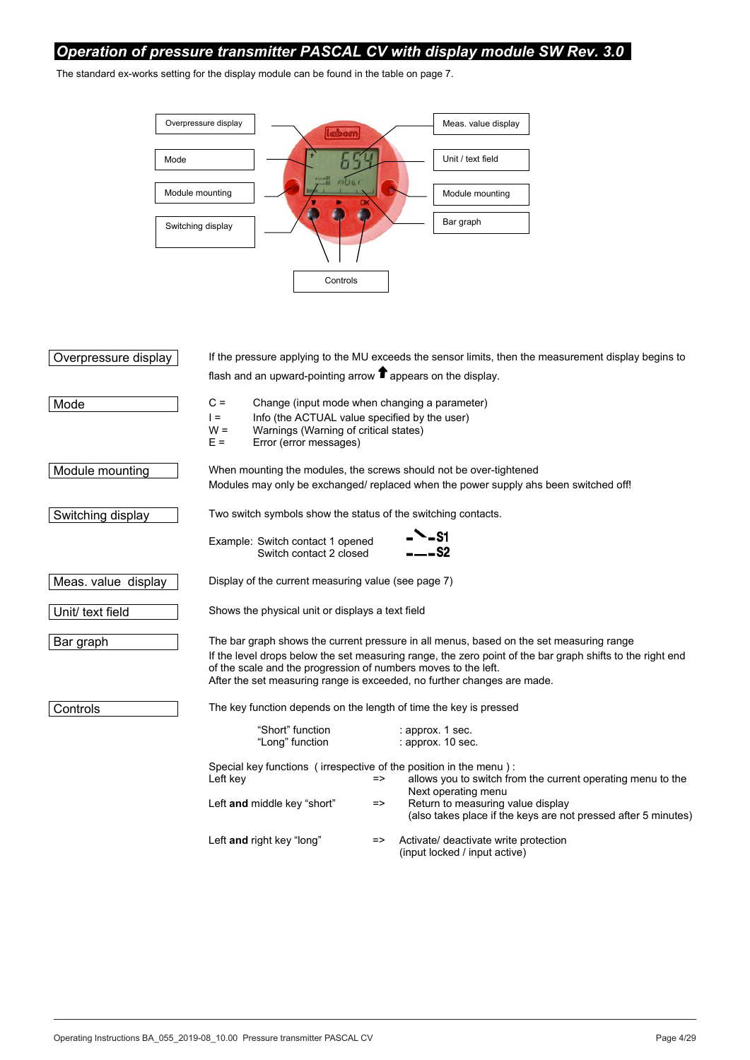## *Operation of pressure transmitter PASCAL CV with display module SW Rev. 3.0*

The standard ex-works setting for the display module can be found in the table on page 7.



| Overpressure display |                                                                                                                                                                                                                                                                                                                                                   |               | If the pressure applying to the MU exceeds the sensor limits, then the measurement display begins to |  |  |
|----------------------|---------------------------------------------------------------------------------------------------------------------------------------------------------------------------------------------------------------------------------------------------------------------------------------------------------------------------------------------------|---------------|------------------------------------------------------------------------------------------------------|--|--|
|                      | flash and an upward-pointing arrow $\blacksquare$ appears on the display.                                                                                                                                                                                                                                                                         |               |                                                                                                      |  |  |
| Mode                 | $C =$<br>Change (input mode when changing a parameter)<br>Info (the ACTUAL value specified by the user)<br>$=$<br>$W =$<br>Warnings (Warning of critical states)<br>Error (error messages)<br>$E =$                                                                                                                                               |               |                                                                                                      |  |  |
| Module mounting      | When mounting the modules, the screws should not be over-tightened                                                                                                                                                                                                                                                                                |               | Modules may only be exchanged/ replaced when the power supply ahs been switched off!                 |  |  |
| Switching display    | Two switch symbols show the status of the switching contacts.                                                                                                                                                                                                                                                                                     |               |                                                                                                      |  |  |
|                      | Example: Switch contact 1 opened<br>Switch contact 2 closed                                                                                                                                                                                                                                                                                       |               | <b>N</b> _S1<br>---S2                                                                                |  |  |
| Meas. value display  | Display of the current measuring value (see page 7)                                                                                                                                                                                                                                                                                               |               |                                                                                                      |  |  |
| Unit/ text field     | Shows the physical unit or displays a text field                                                                                                                                                                                                                                                                                                  |               |                                                                                                      |  |  |
| Bar graph            | The bar graph shows the current pressure in all menus, based on the set measuring range<br>If the level drops below the set measuring range, the zero point of the bar graph shifts to the right end<br>of the scale and the progression of numbers moves to the left.<br>After the set measuring range is exceeded, no further changes are made. |               |                                                                                                      |  |  |
| Controls             | The key function depends on the length of time the key is pressed                                                                                                                                                                                                                                                                                 |               |                                                                                                      |  |  |
|                      | "Short" function<br>"Long" function                                                                                                                                                                                                                                                                                                               |               | : approx. 1 sec.<br>: approx. 10 sec.                                                                |  |  |
|                      | Special key functions (irrespective of the position in the menu):<br>Left key                                                                                                                                                                                                                                                                     | =>            | allows you to switch from the current operating menu to the<br>Next operating menu                   |  |  |
|                      | Left and middle key "short"                                                                                                                                                                                                                                                                                                                       | $\Rightarrow$ | Return to measuring value display<br>(also takes place if the keys are not pressed after 5 minutes)  |  |  |
|                      | Left and right key "long"                                                                                                                                                                                                                                                                                                                         | =>            | Activate/ deactivate write protection<br>(input locked / input active)                               |  |  |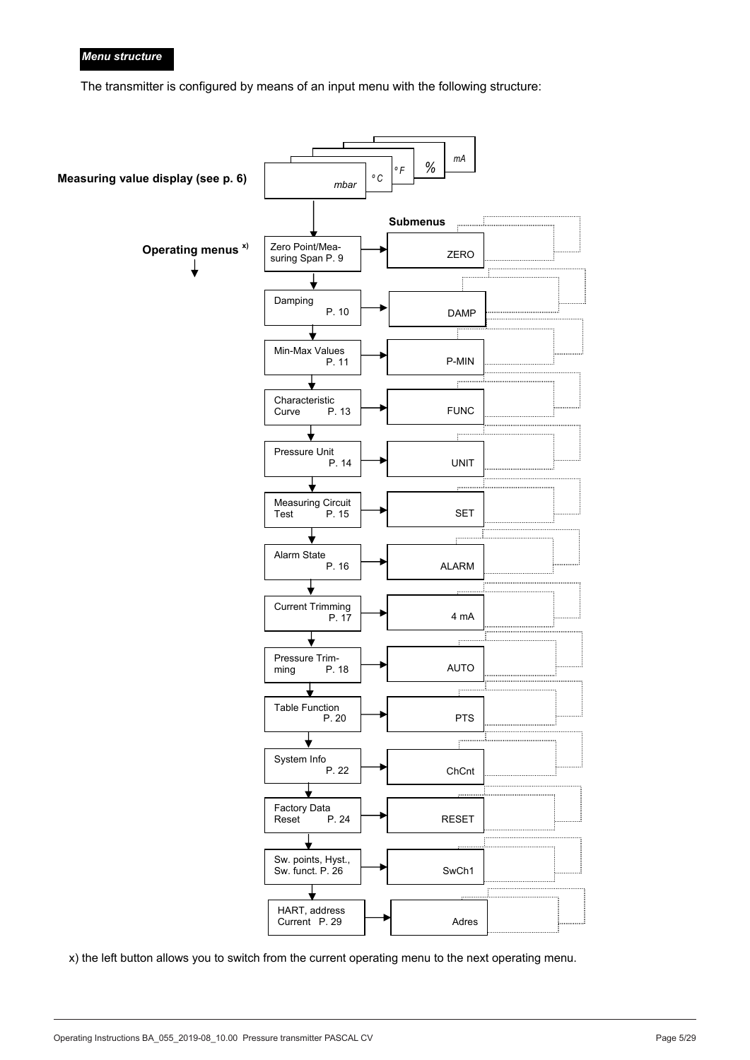### *Menu structure*

The transmitter is configured by means of an input menu with the following structure:



x) the left button allows you to switch from the current operating menu to the next operating menu.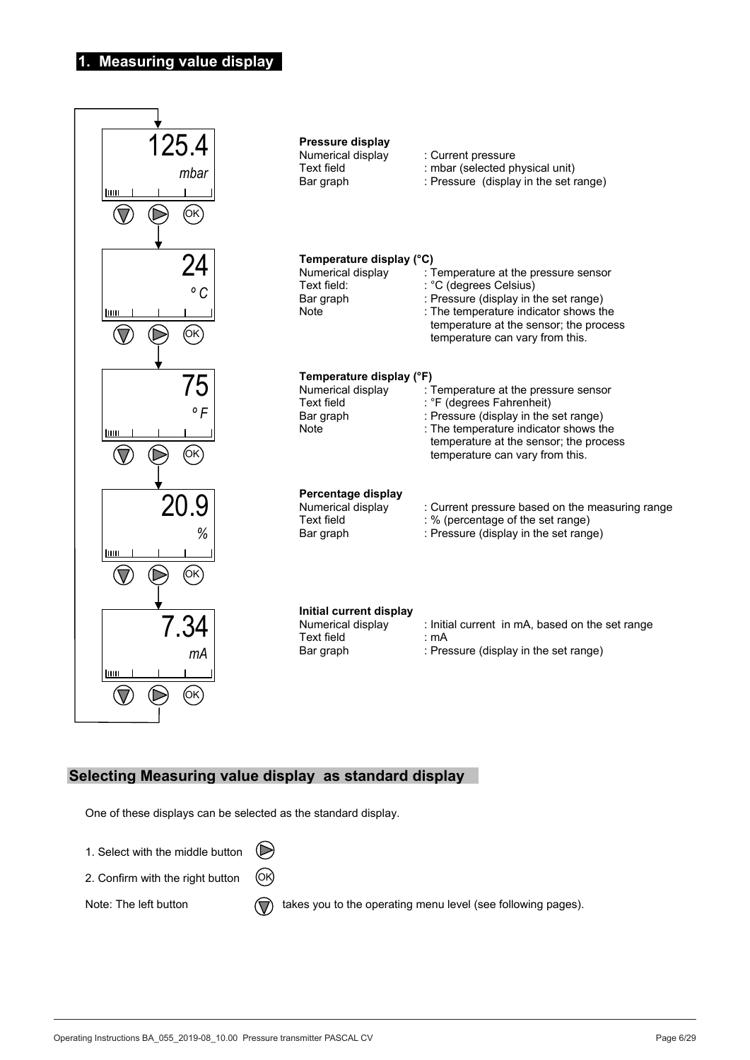## **1. Measuring value display**



## **Selecting Measuring value display as standard display**

One of these displays can be selected as the standard display.

1. Select with the middle button

2. Confirm with the right button OK

Note: The left button  $\bigcap$  takes you to the operating menu level (see following pages).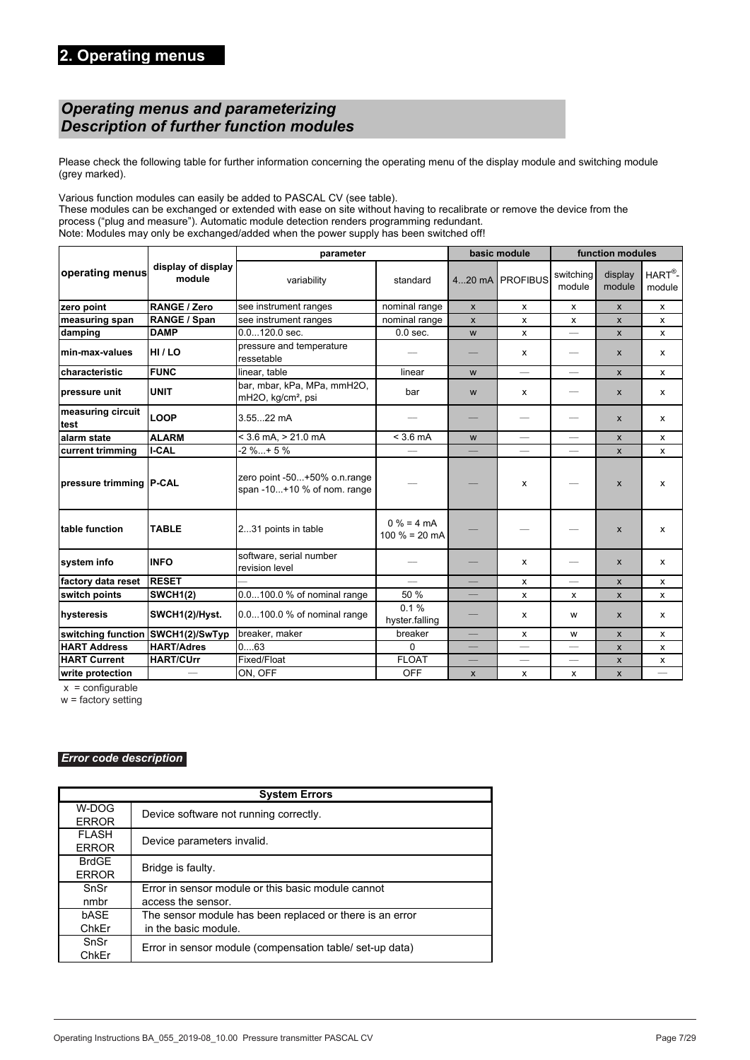## *Operating menus and parameterizing Description of further function modules*

Please check the following table for further information concerning the operating menu of the display module and switching module (grey marked). 

Various function modules can easily be added to PASCAL CV (see table). These modules can be exchanged or extended with ease on site without having to recalibrate or remove the device from the process ("plug and measure"). Automatic module detection renders programming redundant. Note: Modules may only be exchanged/added when the power supply has been switched off!

|                           |                              | parameter                                                     | basic module                   |                    | function modules         |                           |                    |                              |
|---------------------------|------------------------------|---------------------------------------------------------------|--------------------------------|--------------------|--------------------------|---------------------------|--------------------|------------------------------|
| operating menus           | display of display<br>module | variability                                                   | standard                       |                    | 420 mA PROFIBUS          | switching<br>module       | display<br>module  | $HART^{\otimes}$ -<br>module |
| zero point                | RANGE / Zero                 | see instrument ranges                                         | nominal range                  | $\pmb{\mathsf{X}}$ | x                        | $\boldsymbol{\mathsf{x}}$ | X                  | x                            |
| measuring span            | RANGE / Span                 | see instrument ranges                                         | nominal range                  | $\pmb{\mathsf{x}}$ | x                        | x                         | $\mathsf{x}$       | X                            |
| damping                   | <b>DAMP</b>                  | $0.0120.0$ sec.                                               | $0.0$ sec.                     | W                  | x                        |                           | $\mathsf{x}$       | x                            |
| min-max-values            | HI/LO                        | pressure and temperature<br>ressetable                        |                                |                    | x                        | $\overline{\phantom{0}}$  | X                  | x                            |
| characteristic            | <b>FUNC</b>                  | linear, table                                                 | linear                         | W                  | $\frac{1}{2}$            | $\equiv$                  | $\pmb{\mathsf{X}}$ | X                            |
| pressure unit             | <b>UNIT</b>                  | bar, mbar, kPa, MPa, mmH2O,<br>mH2O, kg/cm <sup>2</sup> , psi | bar                            | W                  | x                        | $\overline{\phantom{0}}$  | X                  | X                            |
| measuring circuit<br>test | <b>LOOP</b>                  | 3.5522 mA                                                     |                                |                    | $\qquad \qquad -$        | $\overline{\phantom{0}}$  | $\mathsf{x}$       | x                            |
| alarm state               | <b>ALARM</b>                 | $<$ 3.6 mA, $>$ 21.0 mA                                       | $<$ 3.6 mA                     | W                  |                          |                           | $\mathsf{x}$       | X                            |
| current trimming          | <b>I-CAL</b>                 | $-2 \%+5 \%$                                                  |                                |                    | $\overline{\phantom{0}}$ |                           | X                  | x                            |
| pressure trimming P-CAL   |                              | zero point -50+50% o.n.range<br>span -10+10 % of nom. range   |                                |                    | X                        |                           | $\mathsf{x}$       | x                            |
| table function            | <b>TABLE</b>                 | 231 points in table                                           | $0% = 4 mA$<br>100 $% = 20$ mA |                    |                          |                           | X                  | x                            |
| system info               | <b>INFO</b>                  | software, serial number<br>revision level                     |                                |                    | x                        | $\qquad \qquad$           | X                  | x                            |
| factory data reset        | <b>RESET</b>                 |                                                               |                                |                    | x                        |                           | $\mathsf{x}$       | X                            |
| switch points             | <b>SWCH1(2)</b>              | 0.0100.0 % of nominal range                                   | 50 %                           |                    | x                        | х                         | $\mathsf{x}$       | x                            |
| hysteresis                | SWCH1(2)/Hyst.               | 0.0100.0 % of nominal range                                   | 0.1%<br>hyster.falling         |                    | x                        | w                         | $\mathsf{x}$       | x                            |
| switching function        | SWCH1(2)/SwTyp               | breaker, maker                                                | breaker                        |                    | X                        | W                         | $\mathsf{x}$       | X                            |
| <b>HART Address</b>       | <b>HART/Adres</b>            | 063                                                           | $\Omega$                       |                    | $\overline{\phantom{0}}$ | $\overline{\phantom{0}}$  | $\mathsf{x}$       | X                            |
| <b>HART Current</b>       | <b>HART/CUrr</b>             | Fixed/Float                                                   | <b>FLOAT</b>                   |                    |                          | $\overline{\phantom{0}}$  | $\pmb{\mathsf{x}}$ | X                            |
| write protection          |                              | ON, OFF                                                       | <b>OFF</b>                     | $\pmb{\mathsf{x}}$ | X                        | X                         | $\mathsf{x}$       |                              |

 $x =$  configurable

 $w =$  factory setting

### *Error code description*

|                              | <b>System Errors</b>                                     |  |  |  |  |
|------------------------------|----------------------------------------------------------|--|--|--|--|
| W-DOG<br><b>ERROR</b>        | Device software not running correctly.                   |  |  |  |  |
| <b>FLASH</b><br><b>ERROR</b> | Device parameters invalid.                               |  |  |  |  |
| <b>BrdGE</b><br><b>ERROR</b> | Bridge is faulty.                                        |  |  |  |  |
| SnSr                         | Error in sensor module or this basic module cannot       |  |  |  |  |
| nmbr                         | access the sensor.                                       |  |  |  |  |
| bASE                         | The sensor module has been replaced or there is an error |  |  |  |  |
| ChkEr                        | in the basic module.                                     |  |  |  |  |
| SnSr                         | Error in sensor module (compensation table/ set-up data) |  |  |  |  |
| ChkEr                        |                                                          |  |  |  |  |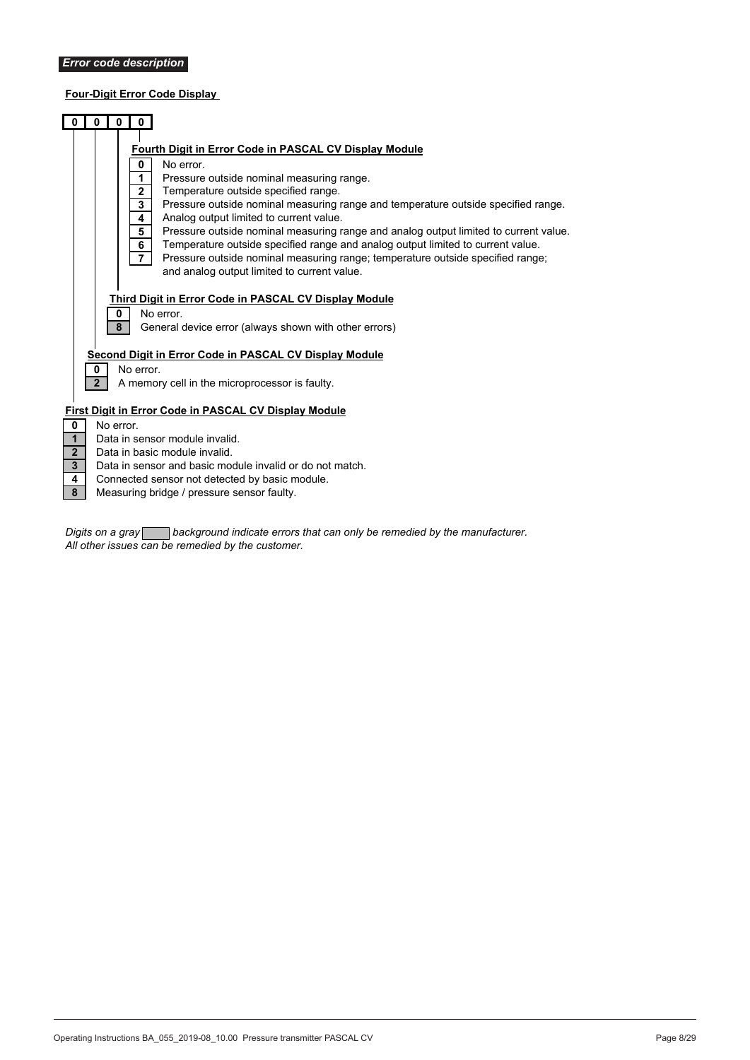## **Four-Digit Error Code Display**

|                                                                           |                     | 0<br>0                                                                                                                                                                                                                                                                                                                                                                                                                                                                                                                                                                                                                                                               |
|---------------------------------------------------------------------------|---------------------|----------------------------------------------------------------------------------------------------------------------------------------------------------------------------------------------------------------------------------------------------------------------------------------------------------------------------------------------------------------------------------------------------------------------------------------------------------------------------------------------------------------------------------------------------------------------------------------------------------------------------------------------------------------------|
|                                                                           |                     | Fourth Digit in Error Code in PASCAL CV Display Module<br>0<br>No error.<br>Pressure outside nominal measuring range.<br>1<br>Temperature outside specified range.<br>$\mathbf{2}$<br>3<br>Pressure outside nominal measuring range and temperature outside specified range.<br>Analog output limited to current value.<br>4<br>5<br>Pressure outside nominal measuring range and analog output limited to current value.<br>Temperature outside specified range and analog output limited to current value.<br>6<br>$\overline{7}$<br>Pressure outside nominal measuring range; temperature outside specified range;<br>and analog output limited to current value. |
|                                                                           | 0<br>2 <sup>2</sup> | Third Digit in Error Code in PASCAL CV Display Module<br>No error.<br>0<br>8<br>General device error (always shown with other errors)<br>Second Digit in Error Code in PASCAL CV Display Module<br>No error.<br>A memory cell in the microprocessor is faulty.                                                                                                                                                                                                                                                                                                                                                                                                       |
| $\mathbf 0$<br>$\mathbf{1}$<br>2 <sup>2</sup><br>$\overline{3}$<br>4<br>8 |                     | First Digit in Error Code in PASCAL CV Display Module<br>No error.<br>Data in sensor module invalid.<br>Data in basic module invalid.<br>Data in sensor and basic module invalid or do not match.<br>Connected sensor not detected by basic module.<br>Measuring bridge / pressure sensor faulty.                                                                                                                                                                                                                                                                                                                                                                    |

*Digits on a gray background indicate errors that can only be remedied by the manufacturer. All other issues can be remedied by the customer.*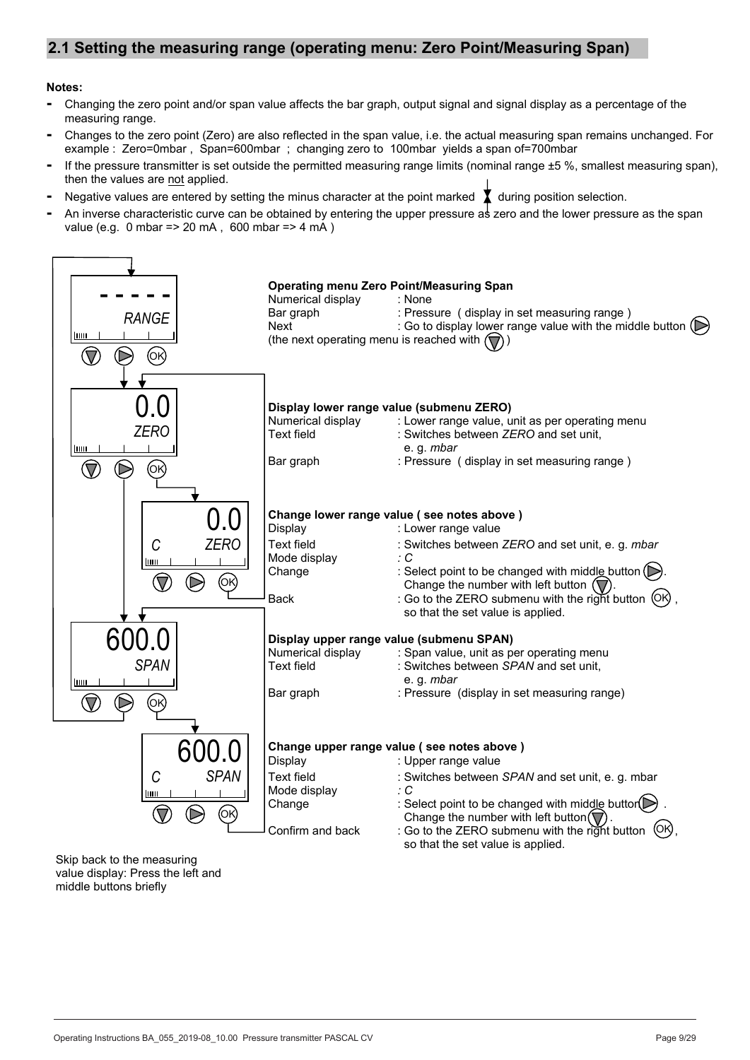## **2.1 Setting the measuring range (operating menu: Zero Point/Measuring Span)**

### **Notes:**

- Changing the zero point and/or span value affects the bar graph, output signal and signal display as a percentage of the measuring range.
- Changes to the zero point (Zero) are also reflected in the span value, i.e. the actual measuring span remains unchanged. For example : Zero=0mbar, Span=600mbar ; changing zero to 100mbar vields a span of=700mbar
- If the pressure transmitter is set outside the permitted measuring range limits (nominal range  $\pm 5\%$ , smallest measuring span), then the values are not applied.
- Negative values are entered by setting the minus character at the point marked  $\sum$  during position selection.
- **-** An inverse characteristic curve can be obtained by entering the upper pressure as zero and the lower pressure as the span value (e.g. 0 mbar => 20 mA, 600 mbar => 4 mA)

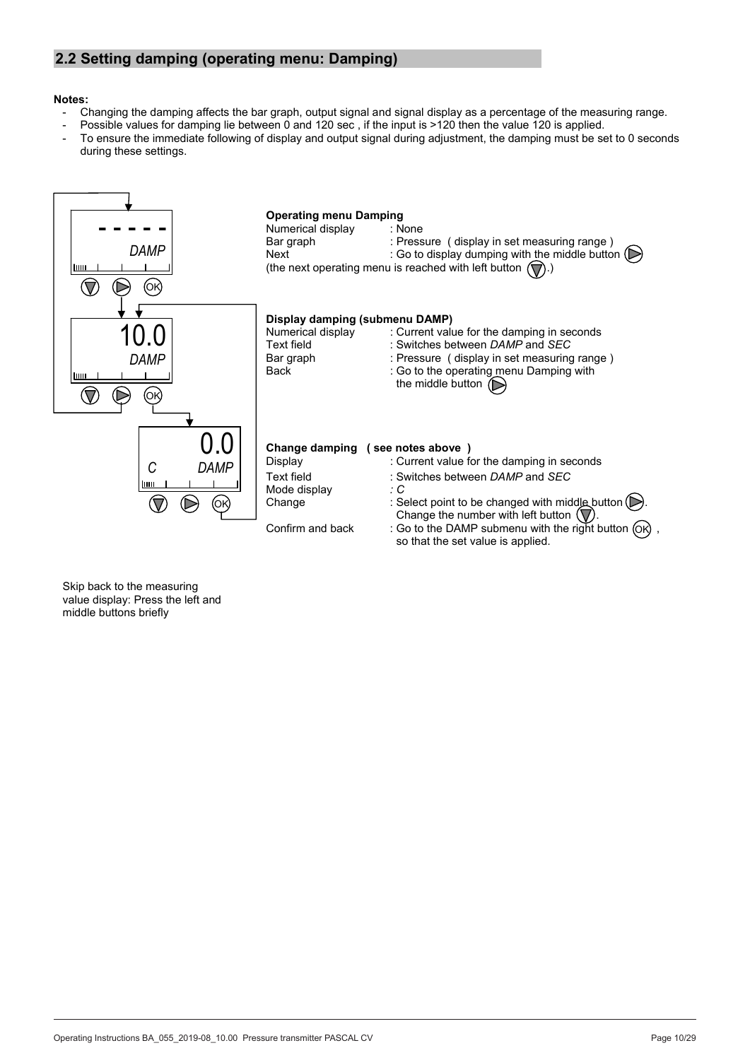## **2.2 Setting damping (operating menu: Damping)**

#### **Notes:**

- Changing the damping affects the bar graph, output signal and signal display as a percentage of the measuring range.
	- Possible values for damping lie between 0 and 120 sec, if the input is >120 then the value 120 is applied.
- To ensure the immediate following of display and output signal during adjustment, the damping must be set to 0 seconds during these settings.

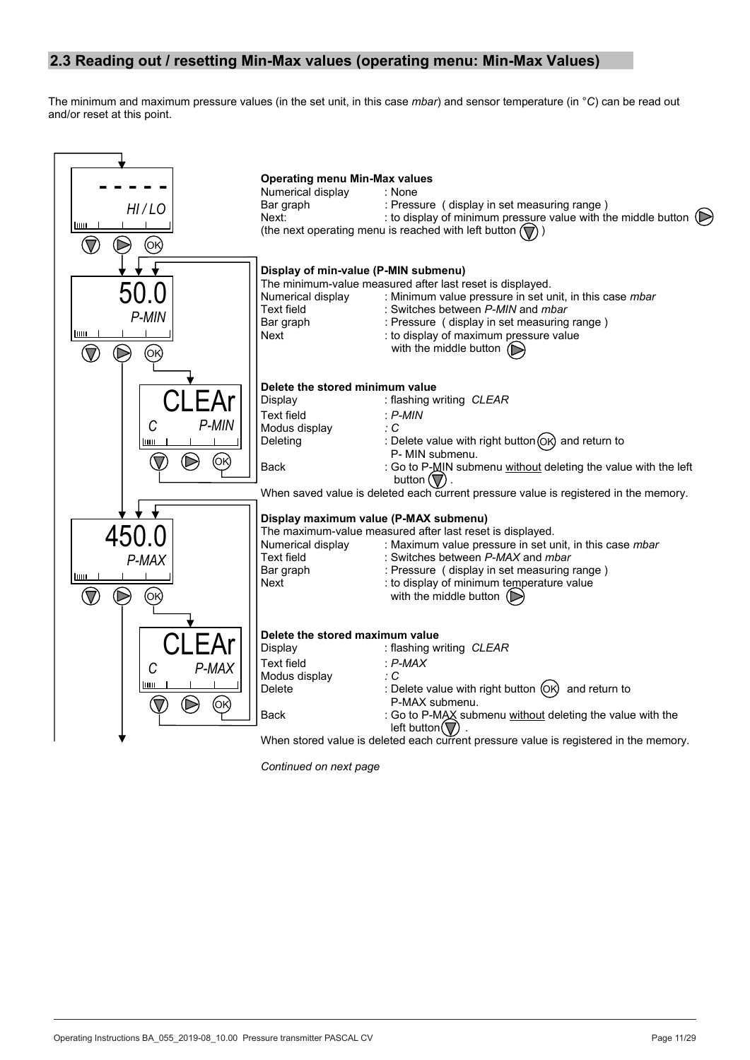## **2.3 Reading out / resetting Min-Max values (operating menu: Min-Max Values)**

The minimum and maximum pressure values (in the set unit, in this case *mbar*) and sensor temperature (in °*C*) can be read out and/or reset at this point.



*Continued on next page*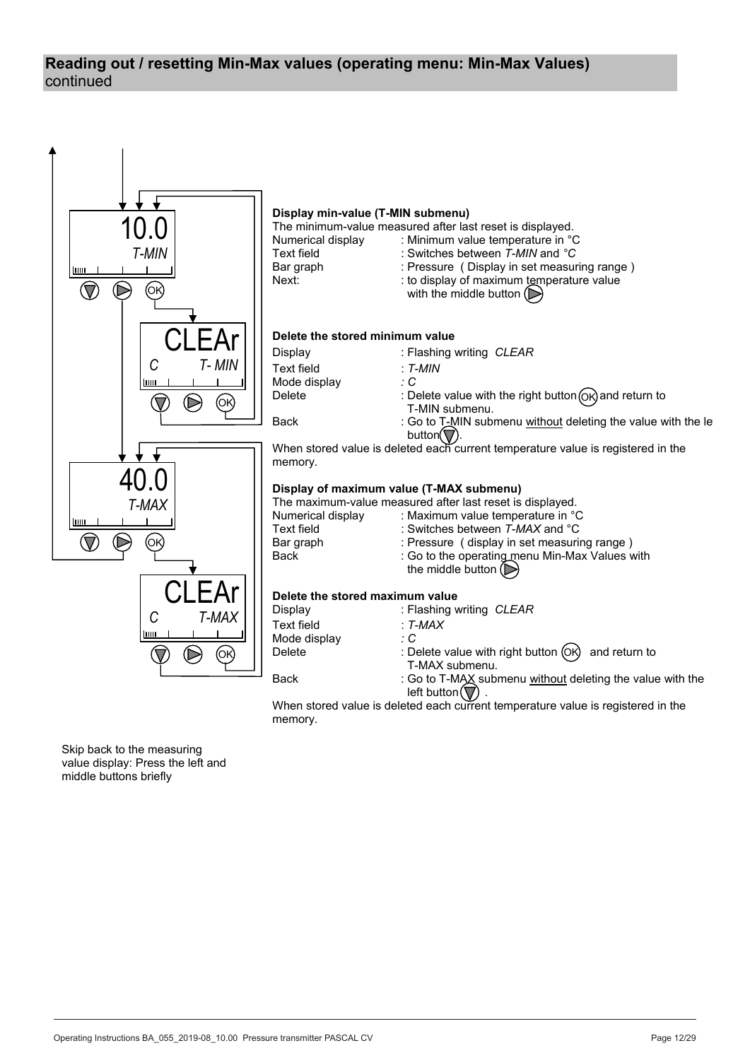## continued **Reading out / resetting Min-Max values (operating menu: Min-Max Values)**

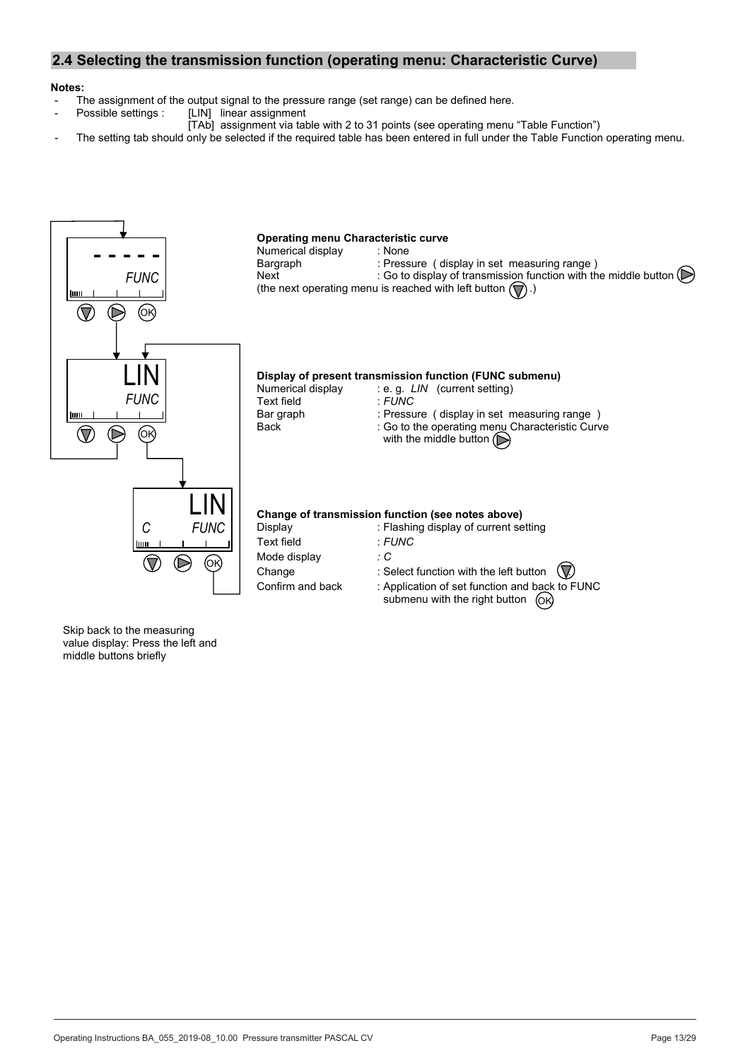## **2.4 Selecting the transmission function (operating menu: Characteristic Curve)**

## **Notes:**

- The assignment of the output signal to the pressure range (set range) can be defined here.<br>Possible settings : [LIN] linear assignment
	- [LIN] linear assignment
	- [TAb] assignment via table with 2 to 31 points (see operating menu "Table Function")
- The setting tab should only be selected if the required table has been entered in full under the Table Function operating menu.

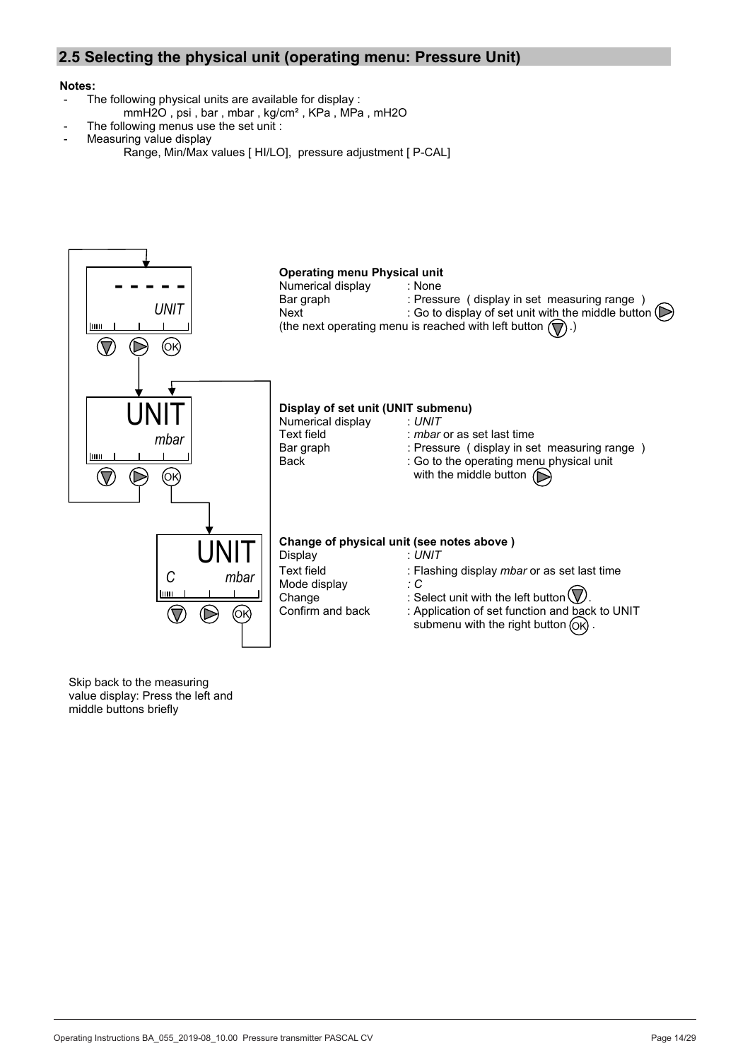## **2.5 Selecting the physical unit (operating menu: Pressure Unit)**

#### **Notes:**

- The following physical units are available for display :
	- mmH2O, psi, bar, mbar, kg/cm<sup>2</sup>, KPa, MPa, mH2O
- The following menus use the set unit :
- Measuring value display
	- Range, Min/Max values [ HI/LO], pressure adjustment [ P-CAL]

![](_page_13_Figure_7.jpeg)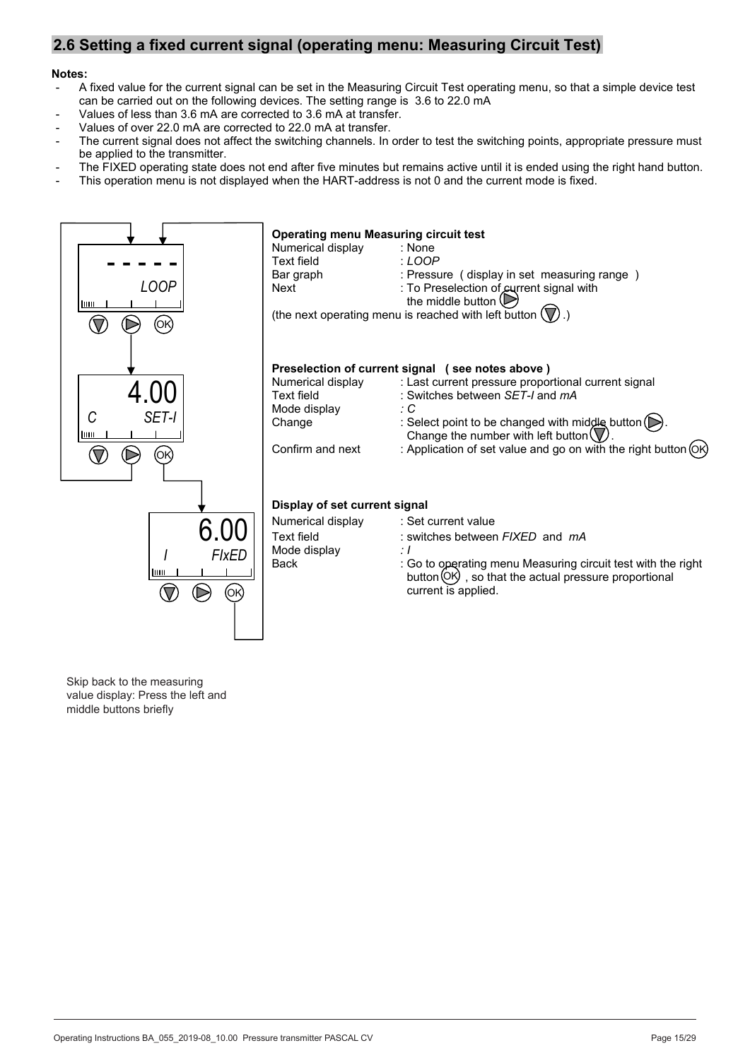## **2.6 Setting a fixed current signal (operating menu: Measuring Circuit Test)**

#### **Notes:**

- A fixed value for the current signal can be set in the Measuring Circuit Test operating menu, so that a simple device test can be carried out on the following devices. The setting range is 3.6 to 22.0 mA
- Values of less than 3.6 mA are corrected to 3.6 mA at transfer.
- Values of over 22.0 mA are corrected to 22.0 mA at transfer.
- The current signal does not affect the switching channels. In order to test the switching points, appropriate pressure must be applied to the transmitter.
- The FIXED operating state does not end after five minutes but remains active until it is ended using the right hand button.
- This operation menu is not displayed when the HART-address is not 0 and the current mode is fixed.

![](_page_14_Figure_8.jpeg)

Skip back to the measuring value display: Press the left and middle buttons briefly

BTA-No. 031 Rev. 031 Rev. 031 Rev. 031 Rev. 031 Rev. 031 Rev. 031 Rev. 031 Rev. 031 Rev. 031 Rev. 031 Rev. 031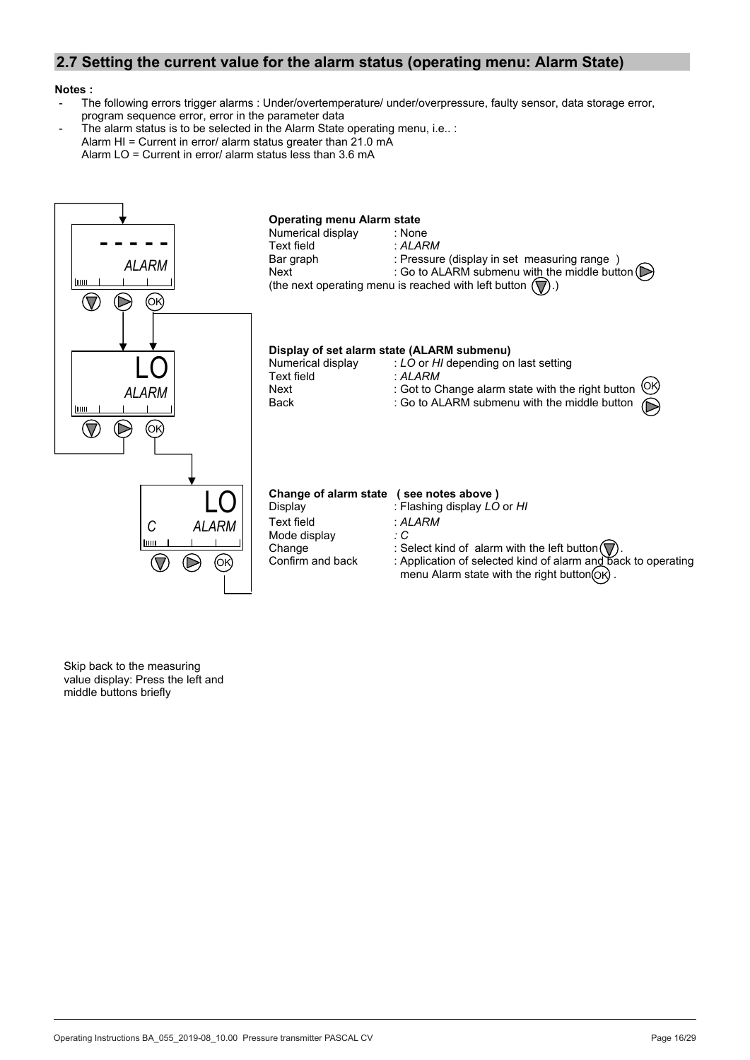## **2.7 Setting the current value for the alarm status (operating menu: Alarm State)**

#### **Notes :**

- The following errors trigger alarms : Under/overtemperature/ under/overpressure, faulty sensor, data storage error, program sequence error, error in the parameter data
- The alarm status is to be selected in the Alarm State operating menu, i.e.. : Alarm HI = Current in error/ alarm status greater than  $21.0 \text{ mA}$ Alarm  $LO =$  Current in error/ alarm status less than 3.6 mA

![](_page_15_Figure_4.jpeg)

Skip back to the measuring value display: Press the left and middle buttons briefly

BTA-N0. 031 Rev. 031 Rev. 031 Rev. 031 Rev. 031 Rev. 031 Rev. 031 Rev. 031 Rev. 031 Rev. 031 Rev. 031 Rev. 031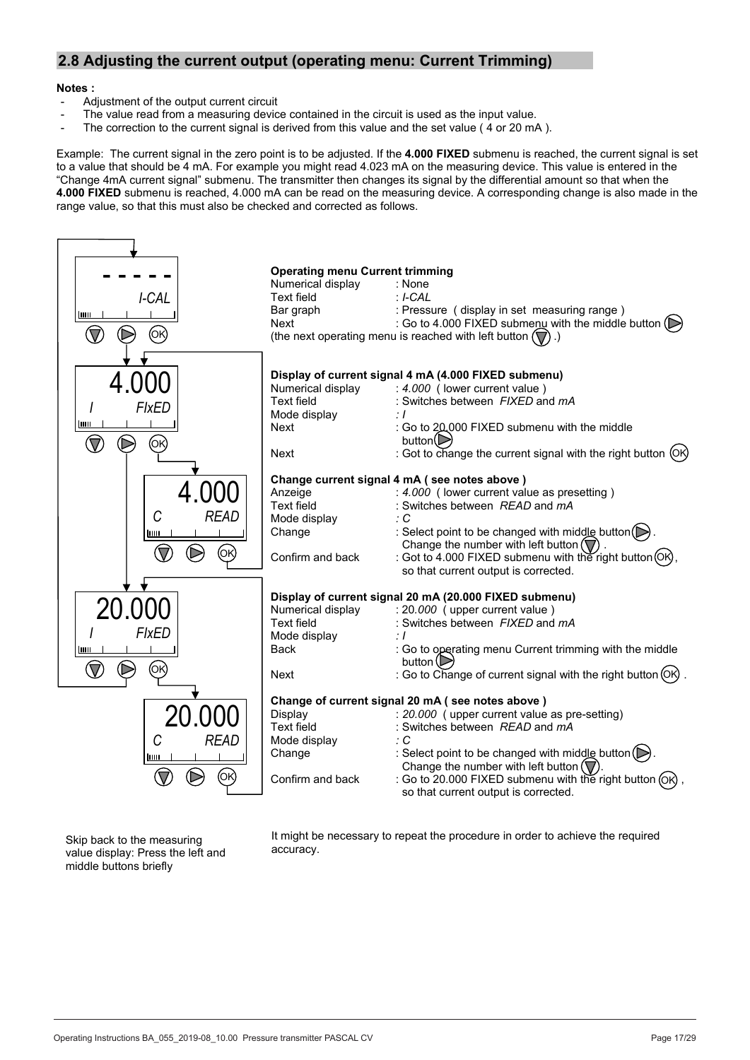## **2.8 Adjusting the current output (operating menu: Current Trimming)**

#### **Notes :**

- Adjustment of the output current circuit
- The value read from a measuring device contained in the circuit is used as the input value.
- The correction to the current signal is derived from this value and the set value (4 or 20 mA).

Example: The current signal in the zero point is to be adjusted. If the 4.000 FIXED submenu is reached, the current signal is set to a value that should be 4 mA. For example you might read 4.023 mA on the measuring device. This value is entered in the "Change 4mA current signal" submenu. The transmitter then changes its signal by the differential amount so that when the **4.000 FIXED** submenu is reached, 4.000 mA can be read on the measuring device. A corresponding change is also made in the range value, so that this must also be checked and corrected as follows.

![](_page_16_Figure_6.jpeg)

Skip back to the measuring value display: Press the left and middle buttons briefly

It might be necessary to repeat the procedure in order to achieve the required accuracy.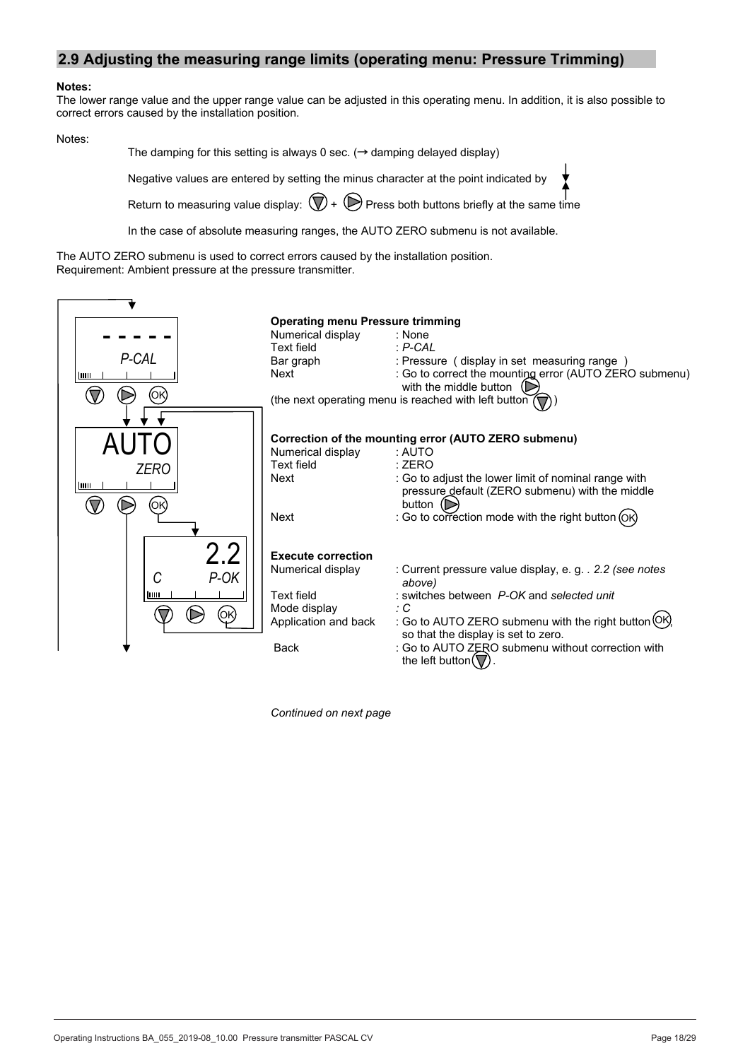## **2.9 Adjusting the measuring range limits (operating menu: Pressure Trimming)**

#### **Notes:**

The lower range value and the upper range value can be adjusted in this operating menu. In addition, it is also possible to correct errors caused by the installation position.

Notes:

The damping for this setting is always 0 sec. ( $\rightarrow$  damping delayed display)

Negative values are entered by setting the minus character at the point indicated by

Return to measuring value display:  $\bigcirc$  +  $\bigcirc$  Press both buttons briefly at the same time

In the case of absolute measuring ranges, the AUTO ZERO submenu is not available.

The AUTO ZERO submenu is used to correct errors caused by the installation position. Requirement: Ambient pressure at the pressure transmitter.

|             | <b>Operating menu Pressure trimming</b> |                                                                                         |  |
|-------------|-----------------------------------------|-----------------------------------------------------------------------------------------|--|
|             | Numerical display                       | : None                                                                                  |  |
|             | <b>Text field</b>                       | $P-CAL$                                                                                 |  |
| P-CAL       | Bar graph                               | : Pressure (display in set measuring range)                                             |  |
| hm          | Next                                    | : Go to correct the mounting error (AUTO ZERO submenu)<br>with the middle button $\Box$ |  |
| ΟΚ          |                                         | (the next operating menu is reached with left button                                    |  |
|             |                                         |                                                                                         |  |
|             |                                         |                                                                                         |  |
|             |                                         | Correction of the mounting error (AUTO ZERO submenu)                                    |  |
|             | Numerical display                       | : AUTO                                                                                  |  |
| <b>ZERO</b> | Text field                              | : ZERO                                                                                  |  |
| luu         | Next                                    | : Go to adjust the lower limit of nominal range with                                    |  |
|             |                                         | pressure_default (ZERO submenu) with the middle                                         |  |
| ΌΚ          |                                         | button $\odot$                                                                          |  |
|             | Next                                    | : Go to correction mode with the right button (OK)                                      |  |
|             |                                         |                                                                                         |  |
| 2.2         | <b>Execute correction</b>               |                                                                                         |  |
|             | Numerical display                       | : Current pressure value display, e.g. . 2.2 (see notes                                 |  |
| P-OK<br>C   |                                         | above)                                                                                  |  |
| hm          | Text field                              | : switches between P-OK and selected unit                                               |  |
| (OK)        | Mode display                            | ÷С                                                                                      |  |
|             | Application and back                    | : Go to AUTO ZERO submenu with the right button (OK                                     |  |
|             |                                         | so that the display is set to zero.                                                     |  |
|             | <b>Back</b>                             | : Go to AUTO ZERO submenu without correction with<br>the left button $(\nabla)$         |  |

*Continued on next page*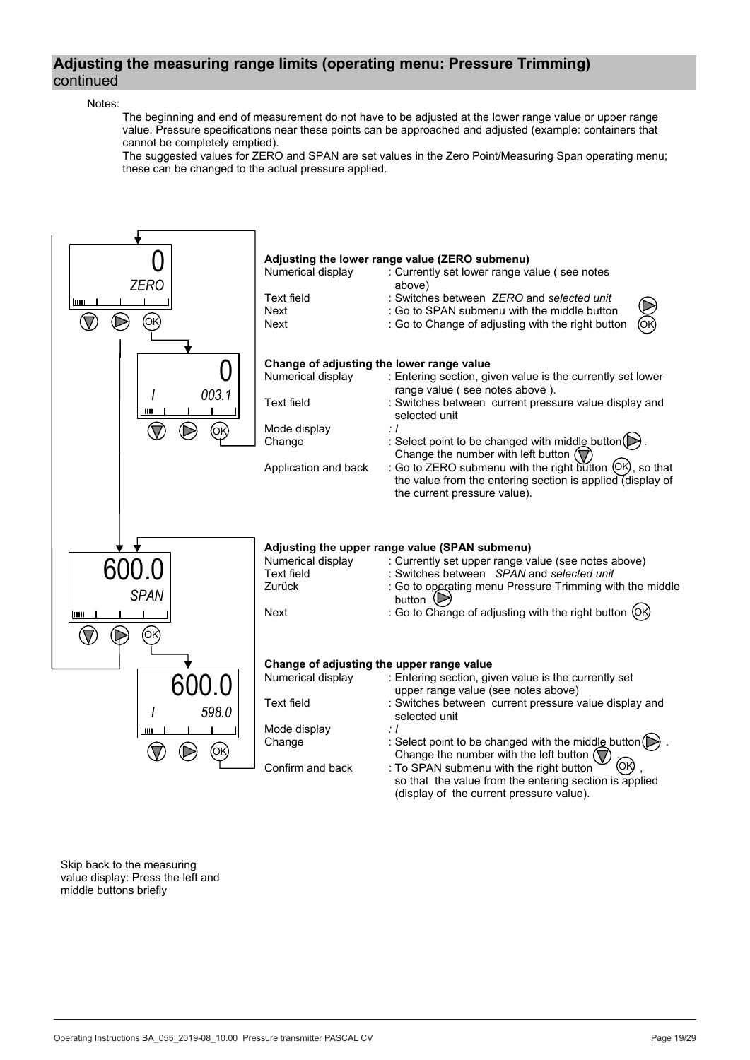## **Adjusting the measuring range limits (operating menu: Pressure Trimming)** continued

#### Notes:

 The beginning and end of measurement do not have to be adjusted at the lower range value or upper range value. Pressure specifications near these points can be approached and adjusted (example: containers that cannot be completely emptied).

 The suggested values for ZERO and SPAN are set values in the Zero Point/Measuring Span operating menu; these can be changed to the actual pressure applied.

![](_page_18_Figure_4.jpeg)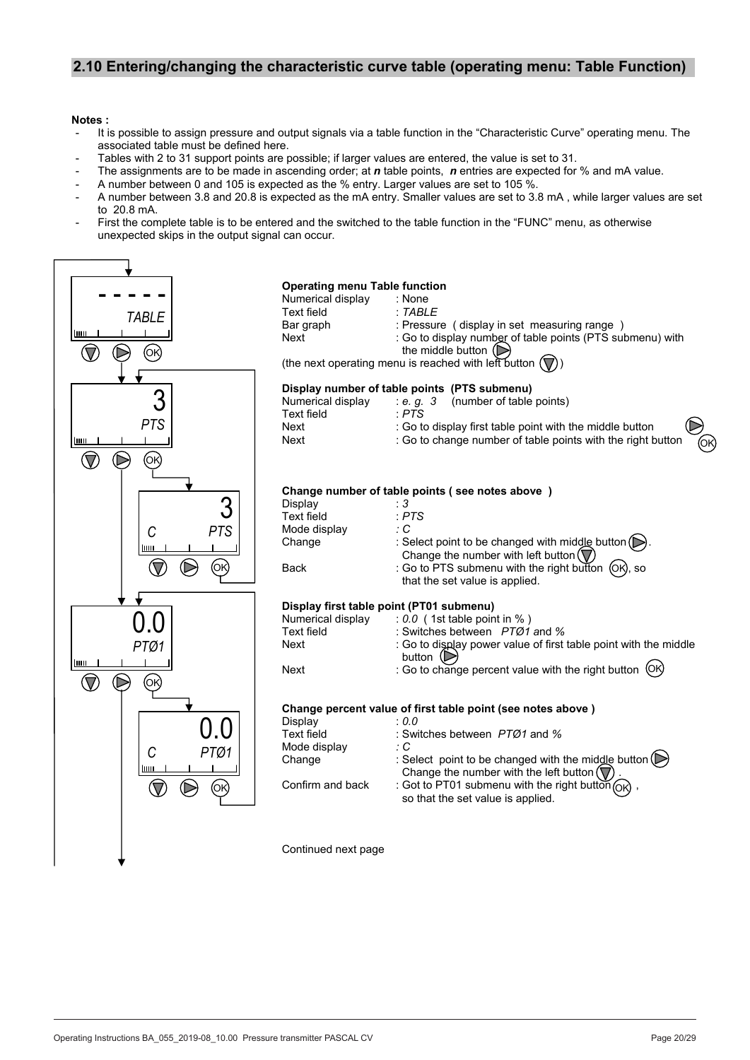## **2.10 Entering/changing the characteristic curve table (operating menu: Table Function)**

#### **Notes :**

- It is possible to assign pressure and output signals via a table function in the "Characteristic Curve" operating menu. The associated table must be defined here.
- Tables with 2 to 31 support points are possible; if larger values are entered, the value is set to 31.
- The assignments are to be made in ascending order; at *n* table points, *n* entries are expected for % and mA value.
- A number between 0 and 105 is expected as the % entry. Larger values are set to 105 %.
- A number between 3.8 and 20.8 is expected as the mA entry. Smaller values are set to 3.8 mA, while larger values are set to 20.8 mA.
- First the complete table is to be entered and the switched to the table function in the "FUNC" menu, as otherwise unexpected skips in the output signal can occur.

![](_page_19_Figure_8.jpeg)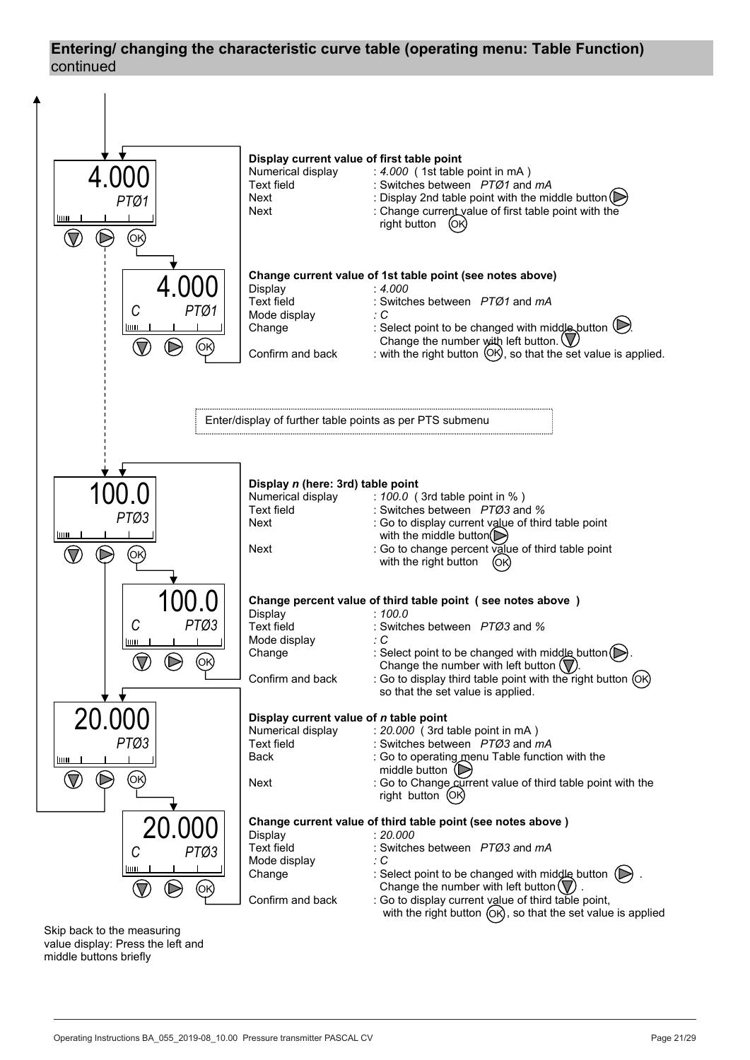## **Entering/ changing the characteristic curve table (operating menu: Table Function)**  continued

![](_page_20_Figure_1.jpeg)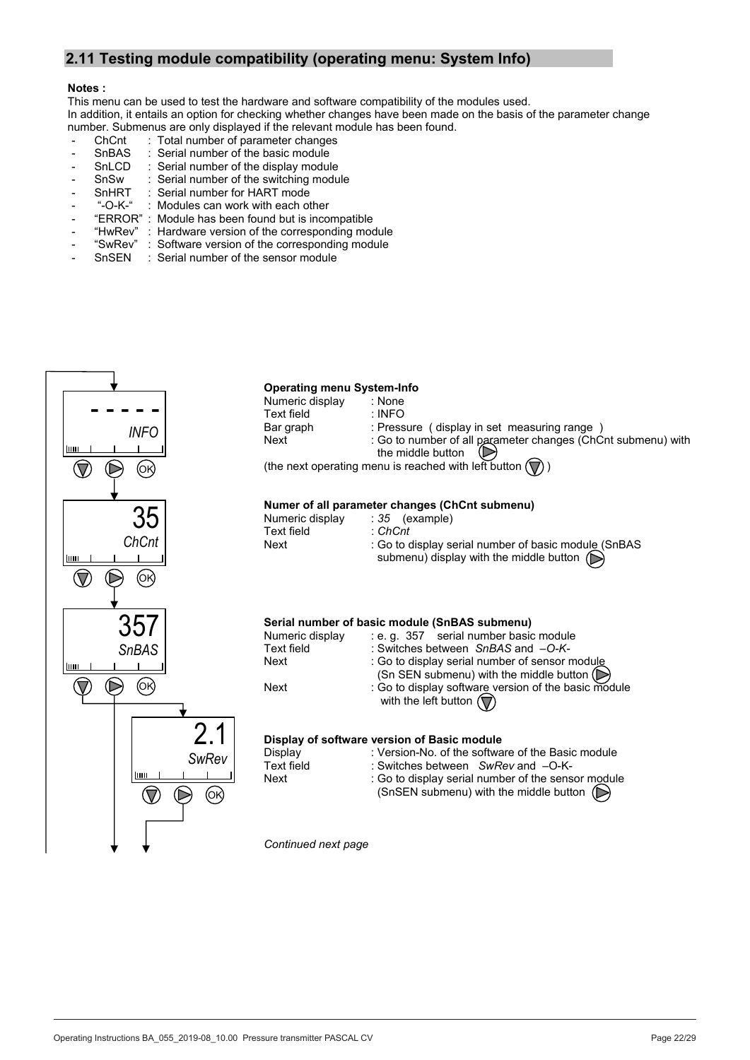## **2.11 Testing module compatibility (operating menu: System Info)**

#### **Notes :**

This menu can be used to test the hardware and software compatibility of the modules used. In addition, it entails an option for checking whether changes have been made on the basis of the parameter change number. Submenus are only displayed if the relevant module has been found.

- 
- ChCnt : Total number of parameter changes<br>SnBAS : Serial number of the basic module - SnBAS : Serial number of the basic module
- SnLCD : Serial number of the display module
- SnSw : Serial number of the switching module<br>SnHRT : Serial number for HART mode
- SnHRT : Serial number for HART mode<br>- "-O-K-" : Modules can work with each of
- "-O-K-" : Modules can work with each other<br>"ERROR" : Module has been found but is inco
- Module has been found but is incompatible
- "HwRev" : Hardware version of the corresponding module
- "SwRev" : Software version of the corresponding module
- SnSEN : Serial number of the sensor module

![](_page_21_Figure_13.jpeg)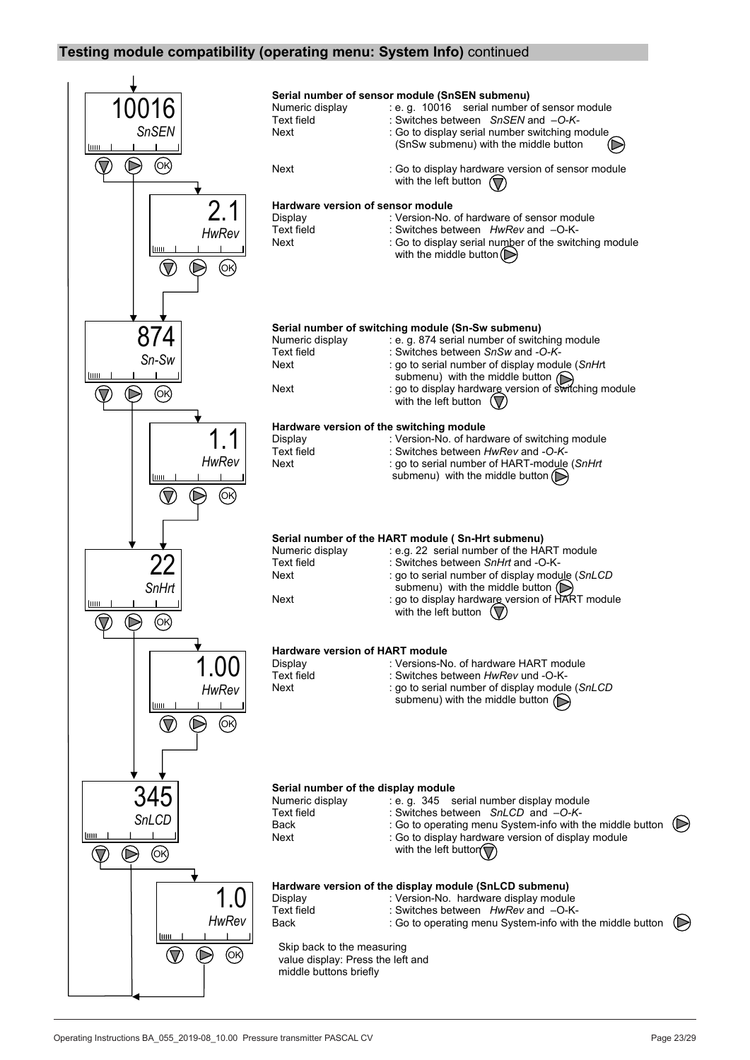## **Testing module compatibility (operating menu: System Info)** continued

![](_page_22_Figure_1.jpeg)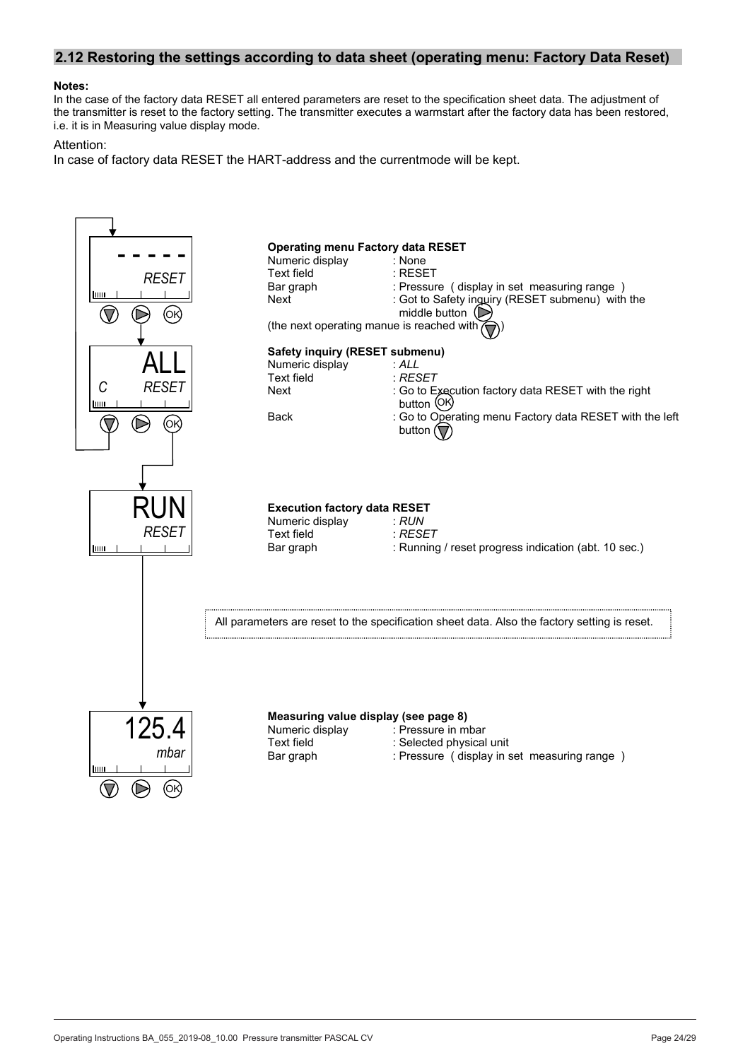## **2.12 Restoring the settings according to data sheet (operating menu: Factory Data Reset)**

#### **Notes:**

In the case of the factory data RESET all entered parameters are reset to the specification sheet data. The adjustment of the transmitter is reset to the factory setting. The transmitter executes a warmstart after the factory data has been restored, i.e. it is in Measuring value display mode.

#### Attention:

In case of factory data RESET the HART-address and the currentmode will be kept.

![](_page_23_Figure_5.jpeg)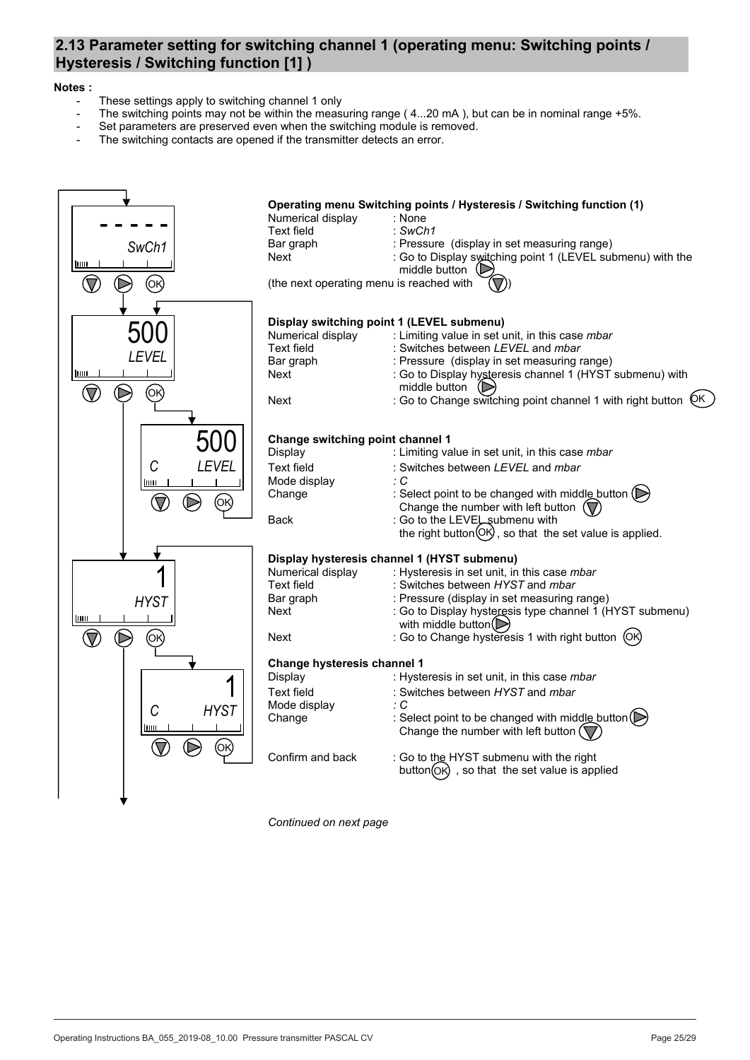## **2.13 Parameter setting for switching channel 1 (operating menu: Switching points / Hysteresis / Switching function [1] )**

#### **Notes :**

- These settings apply to switching channel 1 only
- The switching points may not be within the measuring range  $(4...20 \text{ mA})$ , but can be in nominal range +5%.
- Set parameters are preserved even when the switching module is removed.
- The switching contacts are opened if the transmitter detects an error.

![](_page_24_Figure_6.jpeg)

*Continued on next page*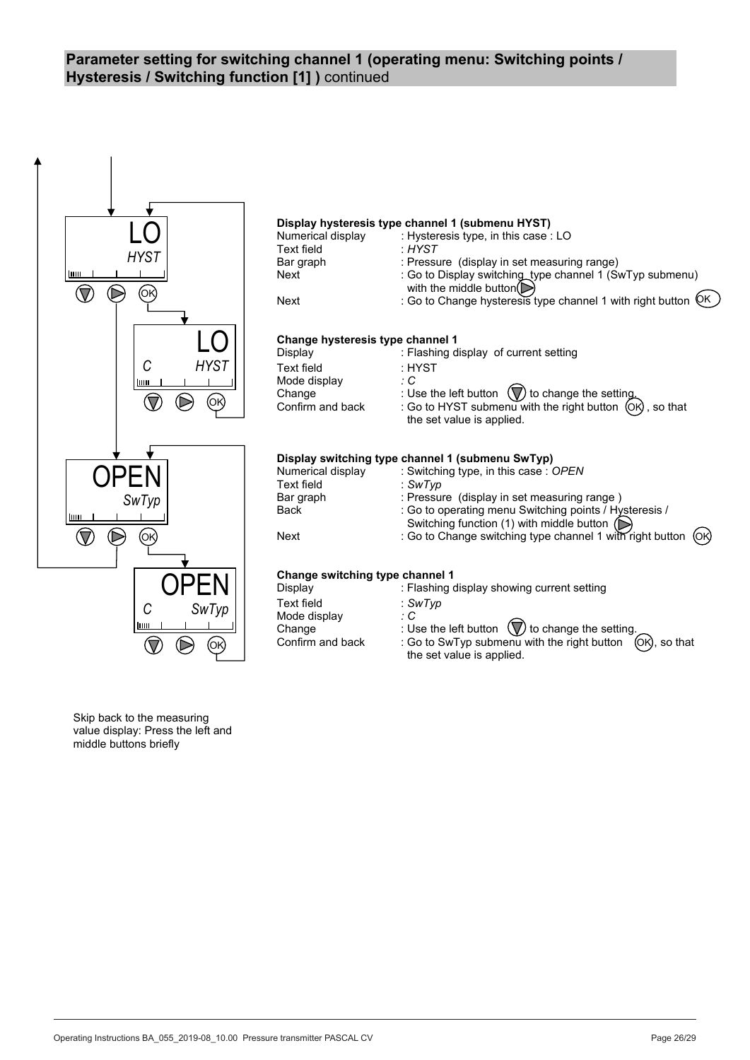## **Parameter setting for switching channel 1 (operating menu: Switching points / Hysteresis / Switching function [1] )** continued

![](_page_25_Figure_1.jpeg)

Skip back to the measuring value display: Press the left and middle buttons briefly

BTA-No. 055 Page 26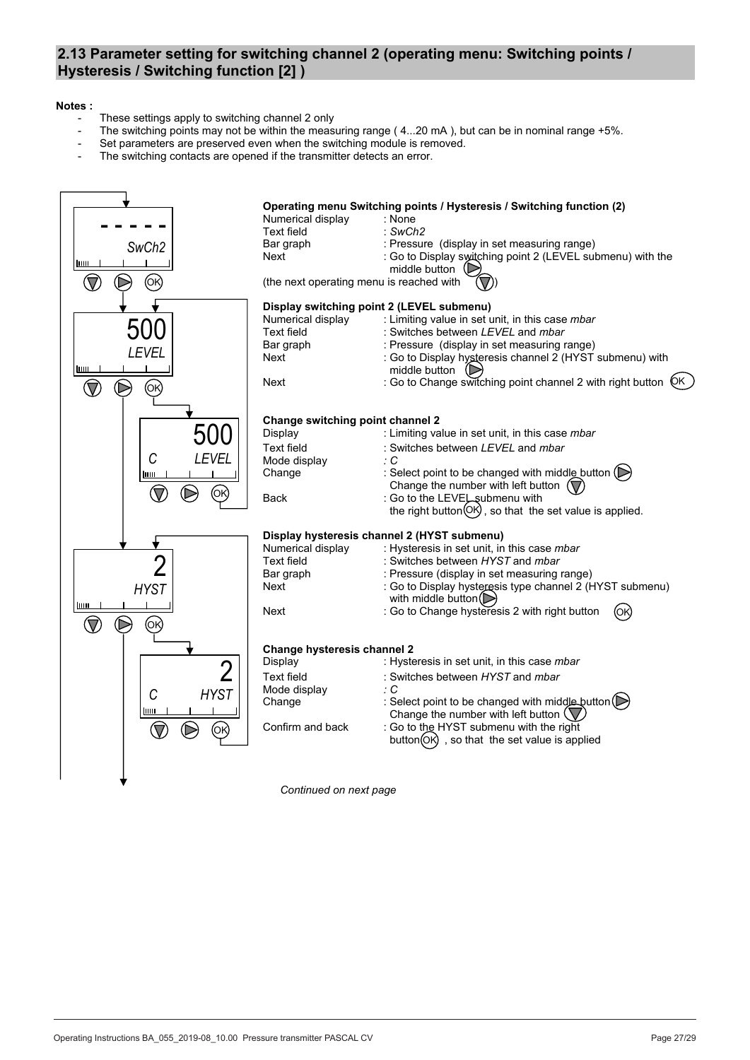## **2.13 Parameter setting for switching channel 2 (operating menu: Switching points / Hysteresis / Switching function [2] )**

#### **Notes :**

- These settings apply to switching channel 2 only
- The switching points may not be within the measuring range  $(4...20 \text{ mA})$ , but can be in nominal range +5%.
- Set parameters are preserved even when the switching module is removed.
- The switching contacts are opened if the transmitter detects an error.

![](_page_26_Figure_6.jpeg)

*Continued on next page*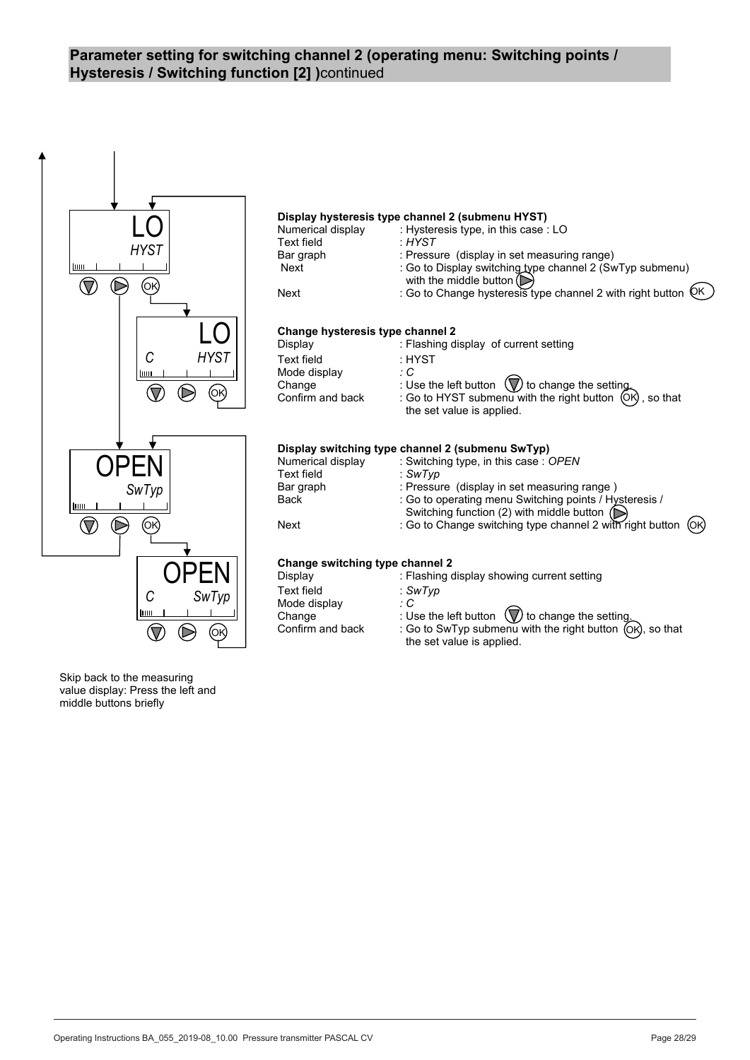## **Parameter setting for switching channel 2 (operating menu: Switching points / Hysteresis / Switching function [2] )**continued

![](_page_27_Figure_1.jpeg)